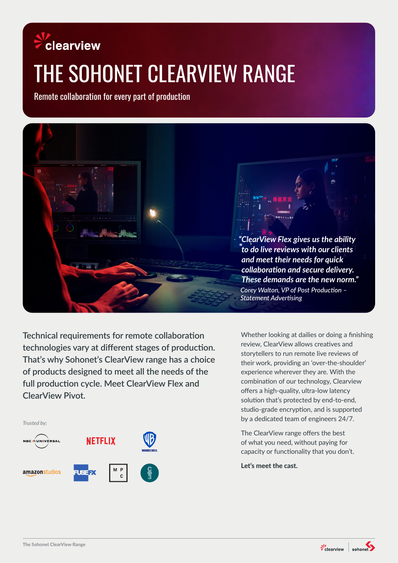## clearview

# THE SOHONET CLEARVIEW RANGE

Remote collaboration for every part of production



**Technical requirements for remote collaboration technologies vary at different stages of production. That's why Sohonet's ClearView range has a choice of products designed to meet all the needs of the full production cycle. Meet ClearView Flex and ClearView Pivot.**



Whether looking at dailies or doing a finishing review, ClearView allows creatives and storytellers to run remote live reviews of their work, providing an 'over-the-shoulder' experience wherever they are. With the combination of our technology, Clearview offers a high-quality, ultra-low latency solution that's protected by end-to-end, studio-grade encryption, and is supported by a dedicated team of engineers 24/7.

The ClearView range offers the best of what you need, without paying for capacity or functionality that you don't.

Let's meet the cast.

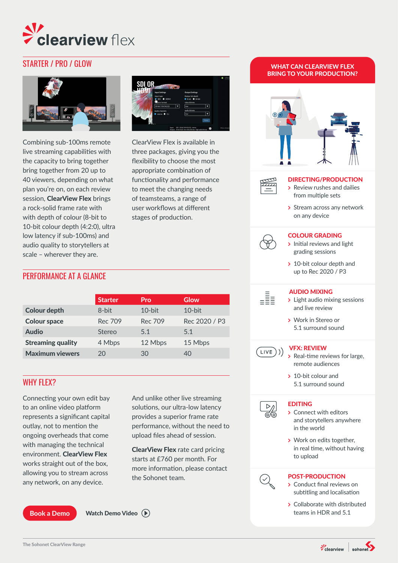

### STARTER / PRO / GLOW WHAT CAN CLEARVIEW FLEX



Combining sub-100ms remote live streaming capabilities with the capacity to bring together bring together from 20 up to 40 viewers, depending on what plan you're on, on each review session, ClearView Flex brings a rock-solid frame rate with with depth of colour (8-bit to 10-bit colour depth (4:2:0), ultra low latency if sub-100ms) and audio quality to storytellers at scale – wherever they are.



ClearView Flex is available in three packages, giving you the flexibility to choose the most appropriate combination of functionality and performance to meet the changing needs of teamsteams, a range of user workflows at different stages of production.

#### PERFORMANCE AT A GLANCE

|                          | <b>Starter</b> | Pro       | Glow          |
|--------------------------|----------------|-----------|---------------|
| <b>Colour depth</b>      | 8-bit          | $10$ -bit | $10$ -bit     |
| <b>Colour space</b>      | Rec 709        | Rec 709   | Rec 2020 / P3 |
| <b>Audio</b>             | Stereo         | 5.1       | 5.1           |
| <b>Streaming quality</b> | 4 Mbps         | 12 Mbps   | 15 Mbps       |
| <b>Maximum viewers</b>   | 20             | 30        | 40            |
|                          |                |           |               |

#### WHY FLEX?

Connecting your own edit bay to an online video platform represents a significant capital outlay, not to mention the ongoing overheads that come with managing the technical environment. ClearView Flex works straight out of the box, allowing you to stream across any network, on any device.

And unlike other live streaming solutions, our ultra-low latency provides a superior frame rate performance, without the need to upload files ahead of session.

ClearView Flex rate card pricing starts at £760 per month. For more information, please contact the Sohonet team.

#### [Book a Demo](https://www.sohonet.com/solutions/real-time-collaboration/clearviewflex/)



## BRING TO YOUR PRODUCTION?





#### DIRECTING/PRODUCTION

- **>** Review rushes and dailies from multiple sets
- **>** Stream across any network on any device

#### COLOUR GRADING



- **>** Initial reviews and light grading sessions
- **>** 10-bit colour depth and up to Rec 2020 / P3



 $(LIVE))$ 

#### AUDIO MIXING

- **>** Light audio mixing sessions and live review
- **>** Work in Stereo or 5.1 surround sound

#### VFX: REVIEW

- **>** Real-time reviews for large, remote audiences
- **>** 10-bit colour and 5.1 surround sound

#### **EDITING**



- **>** Connect with editors and storytellers anywhere in the world
- **>** Work on edits together, in real time, without having to upload

#### POST-PRODUCTION



- **>** Conduct final reviews on subtitling and localisation
- **>** Collaborate with distributed [Watch Demo Video](https://youtu.be/zP9H8zMhCzc )  $\left(\widehat{\mathbb{P}}\right)$